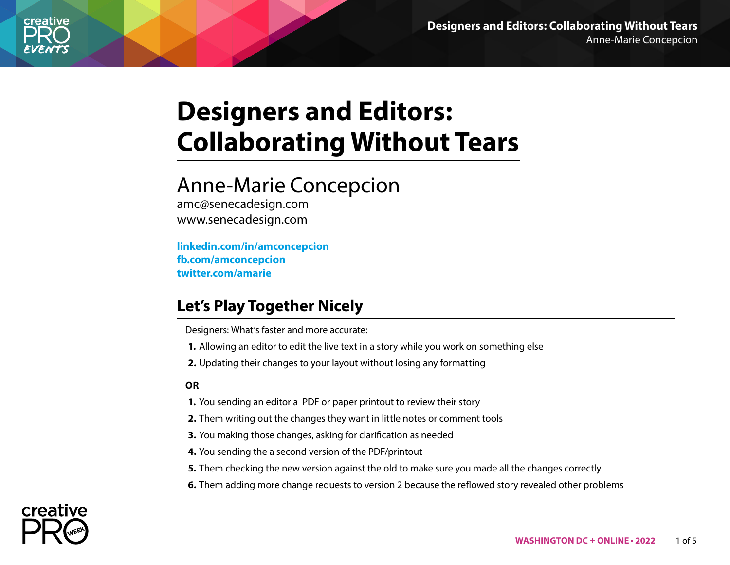

# **Designers and Editors: Collaborating Without Tears**

## Anne-Marie Concepcion

amc@senecadesign.com www.senecadesign.com

**[linkedin.com/in/amconcepcion](https://www.linkedin.com/in/amconcepcion/) [fb.com/amconcepcion](http://facebook.com/amconcepcion) [twitter.com/amarie](http://twitter.com/amarie)**

## **Let's Play Together Nicely**

Designers: What's faster and more accurate:

- **1.** Allowing an editor to edit the live text in a story while you work on something else
- **2.** Updating their changes to your layout without losing any formatting

#### **OR**

- **1.** You sending an editor a PDF or paper printout to review their story
- **2.** Them writing out the changes they want in little notes or comment tools
- **3.** You making those changes, asking for clarification as needed
- **4.** You sending the a second version of the PDF/printout
- **5.** Them checking the new version against the old to make sure you made all the changes correctly
- **6.** Them adding more change requests to version 2 because the reflowed story revealed other problems

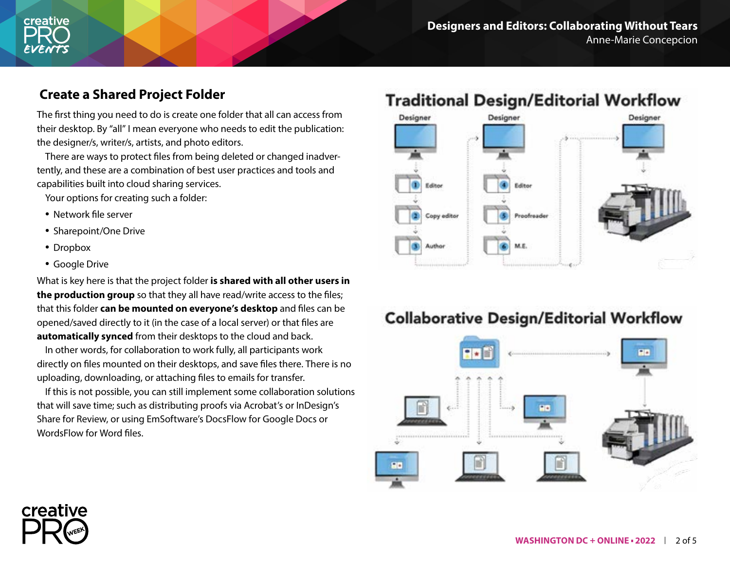

#### **Create a Shared Project Folder**

The first thing you need to do is create one folder that all can access from their desktop. By "all" I mean everyone who needs to edit the publication: the designer/s, writer/s, artists, and photo editors.

There are ways to protect files from being deleted or changed inadvertently, and these are a combination of best user practices and tools and capabilities built into cloud sharing services.

Your options for creating such a folder:

- Network file server
- Sharepoint/One Drive
- Dropbox

creative

• Google Drive

What is key here is that the project folder **is shared with all other users in the production group** so that they all have read/write access to the files; that this folder **can be mounted on everyone's desktop** and files can be opened/saved directly to it (in the case of a local server) or that files are **automatically synced** from their desktops to the cloud and back.

In other words, for collaboration to work fully, all participants work directly on files mounted on their desktops, and save files there. There is no uploading, downloading, or attaching files to emails for transfer.

If this is not possible, you can still implement some collaboration solutions that will save time; such as distributing proofs via Acrobat's or InDesign's Share for Review, or using EmSoftware's DocsFlow for Google Docs or WordsFlow for Word files.

## **Traditional Design/Editorial Workflow**



### **Collaborative Design/Editorial Workflow**

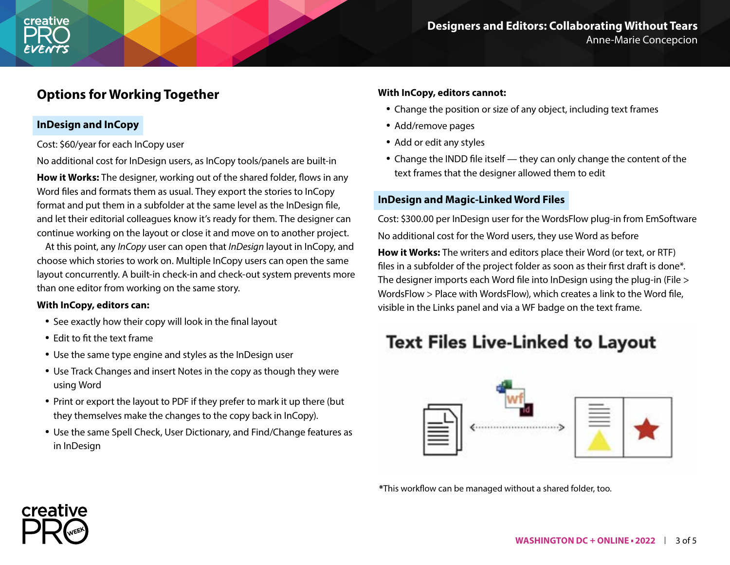### **Options for Working Together**

#### **InDesign and InCopy**

Cost: \$60/year for each InCopy user

No additional cost for InDesign users, as InCopy tools/panels are built-in

**How it Works:** The designer, working out of the shared folder, flows in any Word files and formats them as usual. They export the stories to InCopy format and put them in a subfolder at the same level as the InDesign file, and let their editorial colleagues know it's ready for them. The designer can continue working on the layout or close it and move on to another project.

At this point, any *InCopy* user can open that *InDesign* layout in InCopy, and choose which stories to work on. Multiple InCopy users can open the same layout concurrently. A built-in check-in and check-out system prevents more than one editor from working on the same story.

#### **With InCopy, editors can:**

- See exactly how their copy will look in the final layout
- Edit to fit the text frame

creative

- Use the same type engine and styles as the InDesign user
- Use Track Changes and insert Notes in the copy as though they were using Word
- Print or export the layout to PDF if they prefer to mark it up there (but they themselves make the changes to the copy back in InCopy).
- Use the same Spell Check, User Dictionary, and Find/Change features as in InDesign

#### **With InCopy, editors cannot:**

- Change the position or size of any object, including text frames
- Add/remove pages
- Add or edit any styles
- Change the INDD file itself they can only change the content of the text frames that the designer allowed them to edit

#### **InDesign and Magic-Linked Word Files**

Cost: \$300.00 per InDesign user for the WordsFlow plug-in from EmSoftware No additional cost for the Word users, they use Word as before

**How it Works:** The writers and editors place their Word (or text, or RTF) files in a subfolder of the project folder as soon as their first draft is done\*. The designer imports each Word file into InDesign using the plug-in (File > WordsFlow > Place with WordsFlow), which creates a link to the Word file, visible in the Links panel and via a WF badge on the text frame.

## **Text Files Live-Linked to Layout**



**\***This workflow can be managed without a shared folder, too.

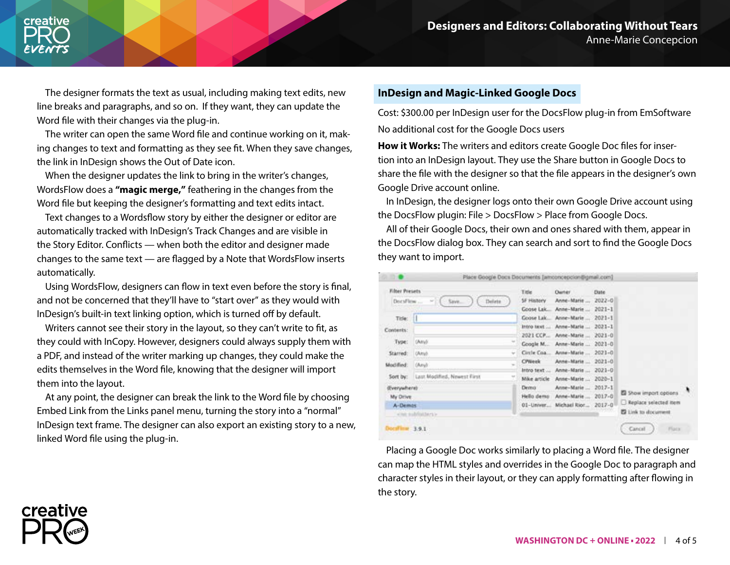

The designer formats the text as usual, including making text edits, new line breaks and paragraphs, and so on. If they want, they can update the Word file with their changes via the plug-in.

The writer can open the same Word file and continue working on it, making changes to text and formatting as they see fit. When they save changes, the link in InDesign shows the Out of Date icon.

When the designer updates the link to bring in the writer's changes, WordsFlow does a **"magic merge,"** feathering in the changes from the Word file but keeping the designer's formatting and text edits intact.

Text changes to a Wordsflow story by either the designer or editor are automatically tracked with InDesign's Track Changes and are visible in the Story Editor. Conflicts — when both the editor and designer made changes to the same text — are flagged by a Note that WordsFlow inserts automatically.

Using WordsFlow, designers can flow in text even before the story is final, and not be concerned that they'll have to "start over" as they would with InDesign's built-in text linking option, which is turned off by default.

Writers cannot see their story in the layout, so they can't write to fit, as they could with InCopy. However, designers could always supply them with a PDF, and instead of the writer marking up changes, they could make the edits themselves in the Word file, knowing that the designer will import them into the layout.

At any point, the designer can break the link to the Word file by choosing Embed Link from the Links panel menu, turning the story into a "normal" InDesign text frame. The designer can also export an existing story to a new, linked Word file using the plug-in.

#### **InDesign and Magic-Linked Google Docs**

Cost: \$300.00 per InDesign user for the DocsFlow plug-in from EmSoftware No additional cost for the Google Docs users

**How it Works:** The writers and editors create Google Doc files for insertion into an InDesign layout. They use the Share button in Google Docs to share the file with the designer so that the file appears in the designer's own Google Drive account online.

In InDesign, the designer logs onto their own Google Drive account using the DocsFlow plugin: File > DocsFlow > Place from Google Docs.

All of their Google Docs, their own and ones shared with them, appear in the DocsFlow dialog box. They can search and sort to find the Google Docs they want to import.

| <b>DO</b>                                                                                               | Place Google Docs Documents (amconcepcion@gmail.com)                                             |                                                                                                                                                             |                                                                                                                            |                                                                                                                                    |                                                                                                  |  |
|---------------------------------------------------------------------------------------------------------|--------------------------------------------------------------------------------------------------|-------------------------------------------------------------------------------------------------------------------------------------------------------------|----------------------------------------------------------------------------------------------------------------------------|------------------------------------------------------------------------------------------------------------------------------------|--------------------------------------------------------------------------------------------------|--|
| <b>Filter Presets</b><br>DocsFless<br>Title:<br>Contents:<br>Type:<br>Starred:<br>Modified:<br>Sort by: | Save<br>Delete<br><b>SETT</b><br>DAINY.<br><b>CAmyl</b><br>(Any):<br>Last Modified, Newest First | Title:<br><b>Darier</b><br><b>SF History</b><br>Goose Lak.<br>Goose Lak<br>Intro text<br>2021 CCP<br>Google M.<br>Circle Coa<br><b>CPWeek</b><br>Intro text | Anne-Marie<br>Anne-Marie<br>Anne-Marie<br>Anne-Marie<br>Anne-Marie<br>Anne-Marie<br>Anne-Marie<br>Anne-Marie<br>Anne-Marie | Dute<br>$2022 - 0$<br>$2021 - 1$<br>$2021 - 1$<br>$2021 - 1$<br>$2021 - 0$<br>$2021 - 0$<br>$2021 - 0$<br>$2021 - 0$<br>$2021 - 0$ |                                                                                                  |  |
| (Everywhere)<br>My Drive<br>A-Demos<br>what subfinitions is<br><b>Docuf in</b><br>3.9.1                 |                                                                                                  | Mike article<br>Dennis<br>Hello demo<br>01-Univer                                                                                                           | Anne-Marie<br>Anne-Marie<br>Anne-Marie<br>Michael Rior                                                                     | 2020-1<br>$2017 - 1$<br>$2017 - 0$<br>$2017 - 0$                                                                                   | El Show import options<br>Replace selected item<br><b>El Link to document</b><br>Cancel<br>Flack |  |

Placing a Google Doc works similarly to placing a Word file. The designer can map the HTML styles and overrides in the Google Doc to paragraph and character styles in their layout, or they can apply formatting after flowing in the story.